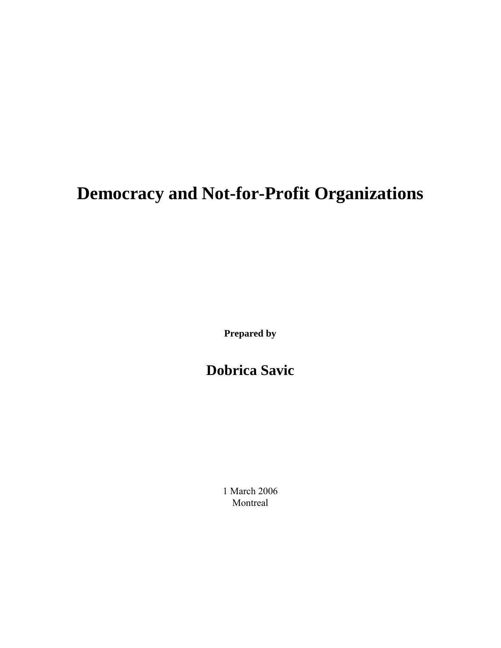# **Democracy and Not-for-Profit Organizations**

**Prepared by** 

**Dobrica Savic** 

1 March 2006 Montreal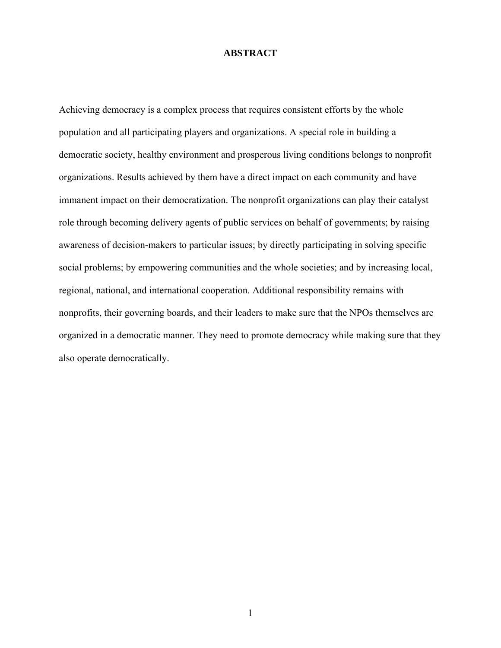#### **ABSTRACT**

Achieving democracy is a complex process that requires consistent efforts by the whole population and all participating players and organizations. A special role in building a democratic society, healthy environment and prosperous living conditions belongs to nonprofit organizations. Results achieved by them have a direct impact on each community and have immanent impact on their democratization. The nonprofit organizations can play their catalyst role through becoming delivery agents of public services on behalf of governments; by raising awareness of decision-makers to particular issues; by directly participating in solving specific social problems; by empowering communities and the whole societies; and by increasing local, regional, national, and international cooperation. Additional responsibility remains with nonprofits, their governing boards, and their leaders to make sure that the NPOs themselves are organized in a democratic manner. They need to promote democracy while making sure that they also operate democratically.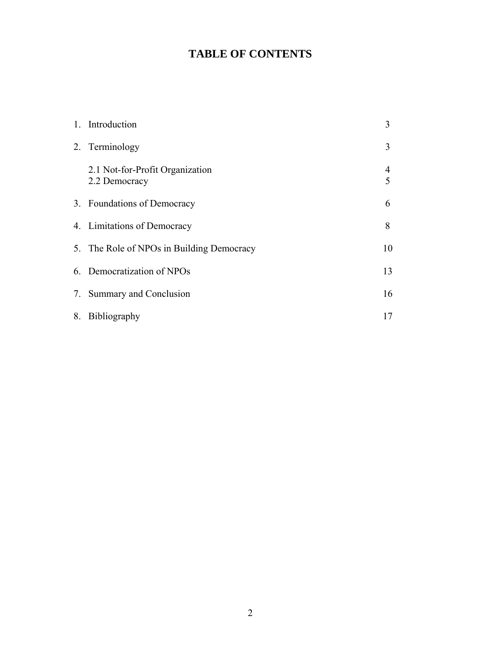## **TABLE OF CONTENTS**

| 1. Introduction                                  | 3      |
|--------------------------------------------------|--------|
| 2. Terminology                                   | 3      |
| 2.1 Not-for-Profit Organization<br>2.2 Democracy | 4<br>5 |
| 3. Foundations of Democracy                      | 6      |
| 4. Limitations of Democracy                      | 8      |
| 5. The Role of NPOs in Building Democracy        | 10     |
| 6. Democratization of NPOs                       | 13     |
| 7. Summary and Conclusion                        | 16     |
| 8. Bibliography                                  | 17     |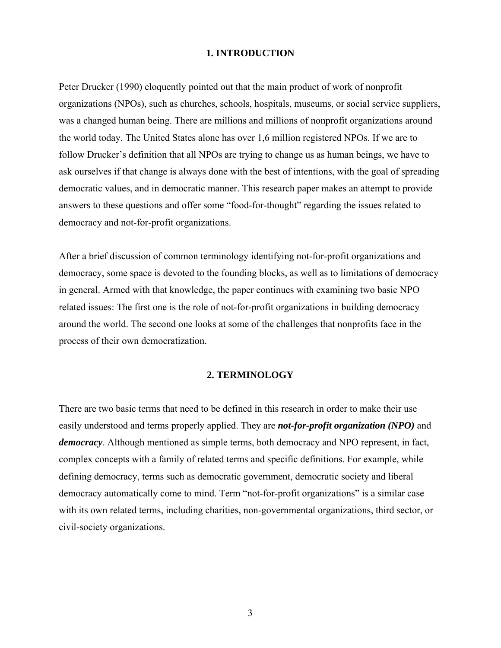#### **1. INTRODUCTION**

Peter Drucker (1990) eloquently pointed out that the main product of work of nonprofit organizations (NPOs), such as churches, schools, hospitals, museums, or social service suppliers, was a changed human being. There are millions and millions of nonprofit organizations around the world today. The United States alone has over 1,6 million registered NPOs. If we are to follow Drucker's definition that all NPOs are trying to change us as human beings, we have to ask ourselves if that change is always done with the best of intentions, with the goal of spreading democratic values, and in democratic manner. This research paper makes an attempt to provide answers to these questions and offer some "food-for-thought" regarding the issues related to democracy and not-for-profit organizations.

After a brief discussion of common terminology identifying not-for-profit organizations and democracy, some space is devoted to the founding blocks, as well as to limitations of democracy in general. Armed with that knowledge, the paper continues with examining two basic NPO related issues: The first one is the role of not-for-profit organizations in building democracy around the world. The second one looks at some of the challenges that nonprofits face in the process of their own democratization.

#### **2. TERMINOLOGY**

There are two basic terms that need to be defined in this research in order to make their use easily understood and terms properly applied. They are *not-for-profit organization (NPO)* and *democracy*. Although mentioned as simple terms, both democracy and NPO represent, in fact, complex concepts with a family of related terms and specific definitions. For example, while defining democracy, terms such as democratic government, democratic society and liberal democracy automatically come to mind. Term "not-for-profit organizations" is a similar case with its own related terms, including charities, non-governmental organizations, third sector, or civil-society organizations.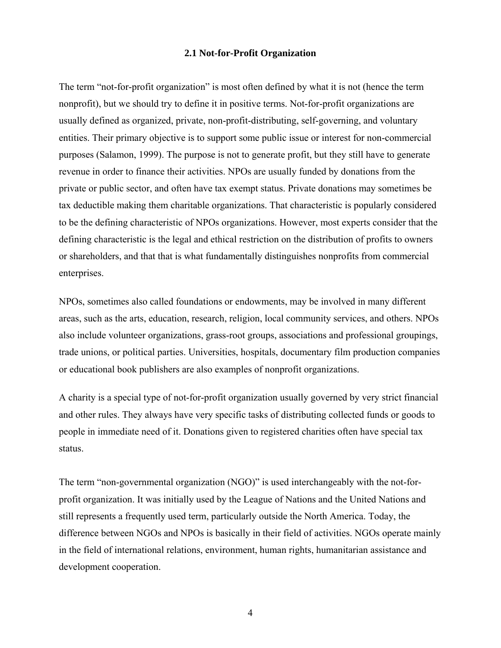#### **2.1 Not-for-Profit Organization**

The term "not-for-profit organization" is most often defined by what it is not (hence the term nonprofit), but we should try to define it in positive terms. Not-for-profit organizations are usually defined as organized, private, non-profit-distributing, self-governing, and voluntary entities. Their primary objective is to support some public issue or interest for non-commercial purposes (Salamon, 1999). The purpose is not to generate profit, but they still have to generate revenue in order to finance their activities. NPOs are usually funded by donations from the private or public sector, and often have tax exempt status. Private donations may sometimes be tax deductible making them charitable organizations. That characteristic is popularly considered to be the defining characteristic of NPOs organizations. However, most experts consider that the defining characteristic is the legal and ethical restriction on the distribution of profits to owners or shareholders, and that that is what fundamentally distinguishes nonprofits from commercial enterprises.

NPOs, sometimes also called foundations or endowments, may be involved in many different areas, such as the arts, education, research, religion, local community services, and others. NPOs also include volunteer organizations, grass-root groups, associations and professional groupings, trade unions, or political parties. Universities, hospitals, documentary film production companies or educational book publishers are also examples of nonprofit organizations.

A charity is a special type of not-for-profit organization usually governed by very strict financial and other rules. They always have very specific tasks of distributing collected funds or goods to people in immediate need of it. Donations given to registered charities often have special tax status.

The term "non-governmental organization (NGO)" is used interchangeably with the not-forprofit organization. It was initially used by the League of Nations and the United Nations and still represents a frequently used term, particularly outside the North America. Today, the difference between NGOs and NPOs is basically in their field of activities. NGOs operate mainly in the field of international relations, environment, human rights, humanitarian assistance and development cooperation.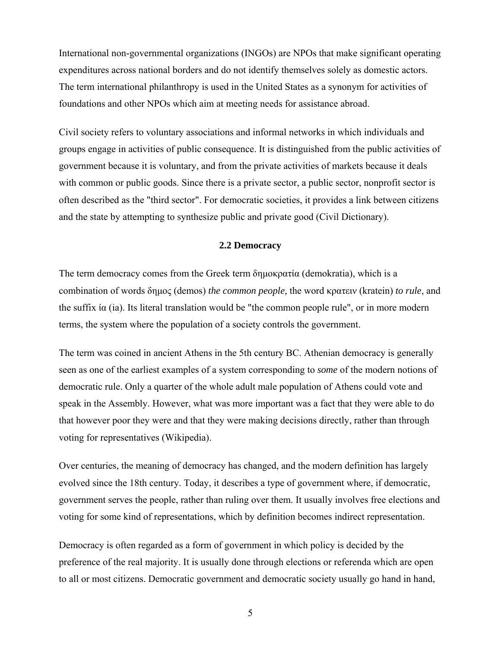International non-governmental organizations (INGOs) are NPOs that make significant operating expenditures across national borders and do not identify themselves solely as domestic actors. The term international philanthropy is used in the United States as a synonym for activities of foundations and other NPOs which aim at meeting needs for assistance abroad.

Civil society refers to voluntary associations and informal networks in which individuals and groups engage in activities of public consequence. It is distinguished from the public activities of government because it is voluntary, and from the private activities of markets because it deals with common or public goods. Since there is a private sector, a public sector, nonprofit sector is often described as the "third sector". For democratic societies, it provides a link between citizens and the state by attempting to synthesize public and private good (Civil Dictionary).

#### **2.2 Democracy**

The term democracy comes from the Greek term δημοκρατία (demokratia), which is a combination of words δημος (demos) *the common people,* the word κρατειν (kratein) *to rule*, and the suffix  $\alpha$  (ia). Its literal translation would be "the common people rule", or in more modern terms, the system where the population of a society controls the government.

The term was coined in ancient Athens in the 5th century BC. Athenian democracy is generally seen as one of the earliest examples of a system corresponding to *some* of the modern notions of democratic rule. Only a quarter of the whole adult male population of Athens could vote and speak in the Assembly. However, what was more important was a fact that they were able to do that however poor they were and that they were making decisions directly, rather than through voting for representatives (Wikipedia).

Over centuries, the meaning of democracy has changed, and the modern definition has largely evolved since the 18th century. Today, it describes a type of government where, if democratic, government serves the people, rather than ruling over them. It usually involves free elections and voting for some kind of representations, which by definition becomes indirect representation.

Democracy is often regarded as a form of government in which policy is decided by the preference of the real majority. It is usually done through elections or referenda which are open to all or most citizens. Democratic government and democratic society usually go hand in hand,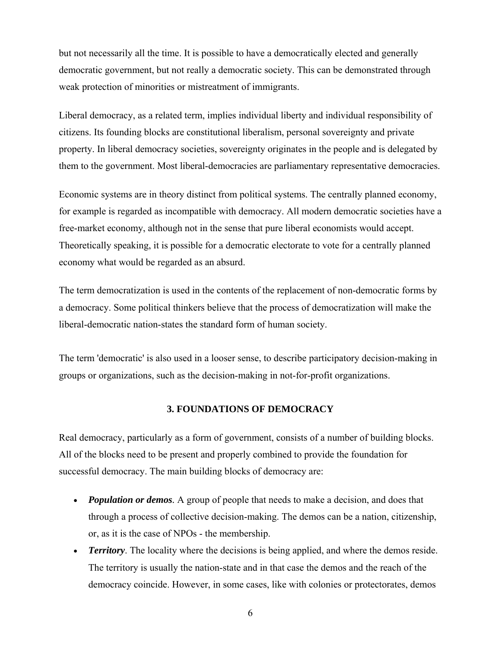but not necessarily all the time. It is possible to have a democratically elected and generally democratic government, but not really a democratic society. This can be demonstrated through weak protection of minorities or mistreatment of immigrants.

Liberal democracy, as a related term, implies individual liberty and individual responsibility of citizens. Its founding blocks are constitutional liberalism, personal sovereignty and private property. In liberal democracy societies, sovereignty originates in the people and is delegated by them to the government. Most liberal-democracies are parliamentary representative democracies.

Economic systems are in theory distinct from political systems. The centrally planned economy, for example is regarded as incompatible with democracy. All modern democratic societies have a free-market economy, although not in the sense that pure liberal economists would accept. Theoretically speaking, it is possible for a democratic electorate to vote for a centrally planned economy what would be regarded as an absurd.

The term democratization is used in the contents of the replacement of non-democratic forms by a democracy. Some political thinkers believe that the process of democratization will make the liberal-democratic nation-states the standard form of human society.

The term 'democratic' is also used in a looser sense, to describe participatory decision-making in groups or organizations, such as the decision-making in not-for-profit organizations.

#### **3. FOUNDATIONS OF DEMOCRACY**

Real democracy, particularly as a form of government, consists of a number of building blocks. All of the blocks need to be present and properly combined to provide the foundation for successful democracy. The main building blocks of democracy are:

- *Population or demos.* A group of people that needs to make a decision, and does that through a process of collective decision-making. The demos can be a nation, citizenship, or, as it is the case of NPOs - the membership.
- *Territory*. The locality where the decisions is being applied, and where the demos reside. The territory is usually the nation-state and in that case the demos and the reach of the democracy coincide. However, in some cases, like with colonies or protectorates, demos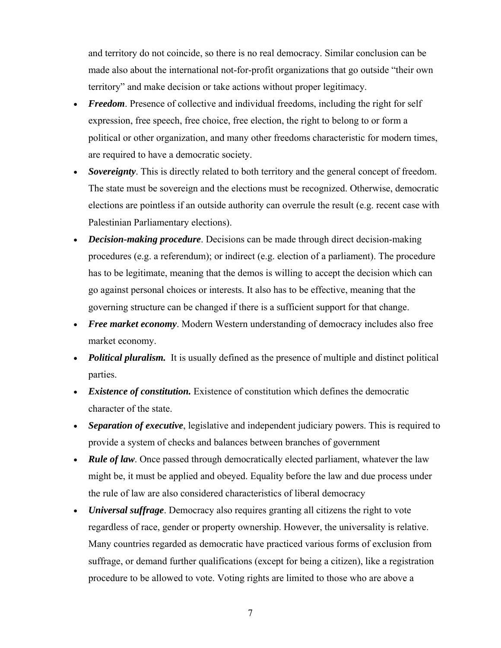and territory do not coincide, so there is no real democracy. Similar conclusion can be made also about the international not-for-profit organizations that go outside "their own territory" and make decision or take actions without proper legitimacy.

- *Freedom*. Presence of collective and individual freedoms, including the right for self expression, free speech, free choice, free election, the right to belong to or form a political or other organization, and many other freedoms characteristic for modern times, are required to have a democratic society.
- **Sovereignty**. This is directly related to both territory and the general concept of freedom. The state must be sovereign and the elections must be recognized. Otherwise, democratic elections are pointless if an outside authority can overrule the result (e.g. recent case with Palestinian Parliamentary elections).
- *Decision-making procedure*. Decisions can be made through direct decision-making procedures (e.g. a referendum); or indirect (e.g. election of a parliament). The procedure has to be legitimate, meaning that the demos is willing to accept the decision which can go against personal choices or interests. It also has to be effective, meaning that the governing structure can be changed if there is a sufficient support for that change.
- *Free market economy*. Modern Western understanding of democracy includes also free market economy.
- *Political pluralism.* It is usually defined as the presence of multiple and distinct political parties.
- *Existence of constitution.* Existence of constitution which defines the democratic character of the state.
- *Separation of executive*, legislative and independent judiciary powers. This is required to provide a system of checks and balances between branches of government
- *Rule of law*. Once passed through democratically elected parliament, whatever the law might be, it must be applied and obeyed. Equality before the law and due process under the rule of law are also considered characteristics of liberal democracy
- *Universal suffrage*. Democracy also requires granting all citizens the right to vote regardless of race, gender or property ownership. However, the universality is relative. Many countries regarded as democratic have practiced various forms of exclusion from suffrage, or demand further qualifications (except for being a citizen), like a registration procedure to be allowed to vote. Voting rights are limited to those who are above a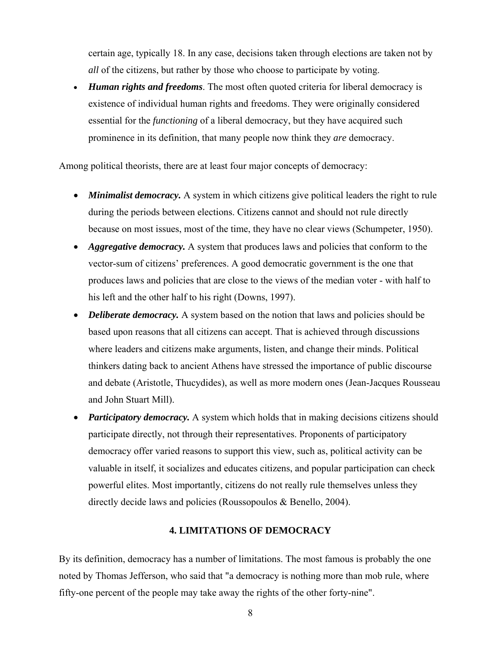certain age, typically 18. In any case, decisions taken through elections are taken not by *all* of the citizens, but rather by those who choose to participate by voting.

• *Human rights and freedoms*. The most often quoted criteria for liberal democracy is existence of individual human rights and freedoms. They were originally considered essential for the *functioning* of a liberal democracy, but they have acquired such prominence in its definition, that many people now think they *are* democracy.

Among political theorists, there are at least four major concepts of democracy:

- *Minimalist democracy.* A system in which citizens give political leaders the right to rule during the periods between elections. Citizens cannot and should not rule directly because on most issues, most of the time, they have no clear views (Schumpeter, 1950).
- *Aggregative democracy*. A system that produces laws and policies that conform to the vector-sum of citizens' preferences. A good democratic government is the one that produces laws and policies that are close to the views of the median voter - with half to his left and the other half to his right (Downs, 1997).
- *Deliberate democracy*. A system based on the notion that laws and policies should be based upon reasons that all citizens can accept. That is achieved through discussions where leaders and citizens make arguments, listen, and change their minds. Political thinkers dating back to ancient Athens have stressed the importance of public discourse and debate (Aristotle, Thucydides), as well as more modern ones (Jean-Jacques Rousseau and John Stuart Mill).
- *Participatory democracy*. A system which holds that in making decisions citizens should participate directly, not through their representatives. Proponents of participatory democracy offer varied reasons to support this view, such as, political activity can be valuable in itself, it socializes and educates citizens, and popular participation can check powerful elites. Most importantly, citizens do not really rule themselves unless they directly decide laws and policies (Roussopoulos & Benello, 2004).

#### **4. LIMITATIONS OF DEMOCRACY**

By its definition, democracy has a number of limitations. The most famous is probably the one noted by Thomas Jefferson, who said that "a democracy is nothing more than mob rule, where fifty-one percent of the people may take away the rights of the other forty-nine".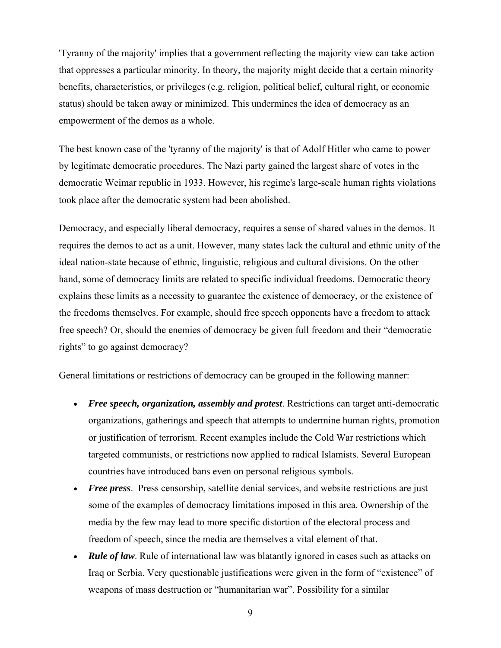'Tyranny of the majority' implies that a government reflecting the majority view can take action that oppresses a particular minority. In theory, the majority might decide that a certain minority benefits, characteristics, or privileges (e.g. religion, political belief, cultural right, or economic status) should be taken away or minimized. This undermines the idea of democracy as an empowerment of the demos as a whole.

The best known case of the 'tyranny of the majority' is that of Adolf Hitler who came to power by legitimate democratic procedures. The Nazi party gained the largest share of votes in the democratic Weimar republic in 1933. However, his regime's large-scale human rights violations took place after the democratic system had been abolished.

Democracy, and especially liberal democracy, requires a sense of shared values in the demos. It requires the demos to act as a unit. However, many states lack the cultural and ethnic unity of the ideal nation-state because of ethnic, linguistic, religious and cultural divisions. On the other hand, some of democracy limits are related to specific individual freedoms. Democratic theory explains these limits as a necessity to guarantee the existence of democracy, or the existence of the freedoms themselves. For example, should free speech opponents have a freedom to attack free speech? Or, should the enemies of democracy be given full freedom and their "democratic rights" to go against democracy?

General limitations or restrictions of democracy can be grouped in the following manner:

- *Free speech, organization, assembly and protest*. Restrictions can target anti-democratic organizations, gatherings and speech that attempts to undermine human rights, promotion or justification of terrorism. Recent examples include the Cold War restrictions which targeted communists, or restrictions now applied to radical Islamists. Several European countries have introduced bans even on personal religious symbols.
- *Free press.* Press censorship, satellite denial services, and website restrictions are just some of the examples of democracy limitations imposed in this area. Ownership of the media by the few may lead to more specific distortion of the electoral process and freedom of speech, since the media are themselves a vital element of that.
- *Rule of law*. Rule of international law was blatantly ignored in cases such as attacks on Iraq or Serbia. Very questionable justifications were given in the form of "existence" of weapons of mass destruction or "humanitarian war". Possibility for a similar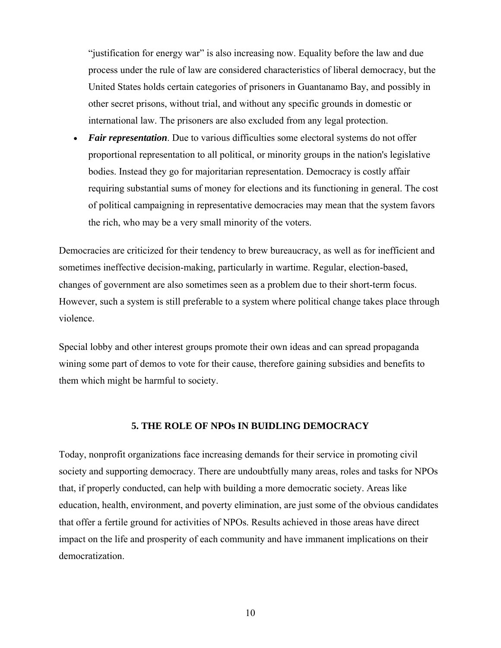"justification for energy war" is also increasing now. Equality before the law and due process under the rule of law are considered characteristics of liberal democracy, but the United States holds certain categories of prisoners in Guantanamo Bay, and possibly in other secret prisons, without trial, and without any specific grounds in domestic or international law. The prisoners are also excluded from any legal protection.

• *Fair representation*. Due to various difficulties some electoral systems do not offer proportional representation to all political, or minority groups in the nation's legislative bodies. Instead they go for majoritarian representation. Democracy is costly affair requiring substantial sums of money for elections and its functioning in general. The cost of political campaigning in representative democracies may mean that the system favors the rich, who may be a very small minority of the voters.

Democracies are criticized for their tendency to brew bureaucracy, as well as for inefficient and sometimes ineffective decision-making, particularly in wartime. Regular, election-based, changes of government are also sometimes seen as a problem due to their short-term focus. However, such a system is still preferable to a system where political change takes place through violence.

Special lobby and other interest groups promote their own ideas and can spread propaganda wining some part of demos to vote for their cause, therefore gaining subsidies and benefits to them which might be harmful to society.

#### **5. THE ROLE OF NPOs IN BUIDLING DEMOCRACY**

Today, nonprofit organizations face increasing demands for their service in promoting civil society and supporting democracy. There are undoubtfully many areas, roles and tasks for NPOs that, if properly conducted, can help with building a more democratic society. Areas like education, health, environment, and poverty elimination, are just some of the obvious candidates that offer a fertile ground for activities of NPOs. Results achieved in those areas have direct impact on the life and prosperity of each community and have immanent implications on their democratization.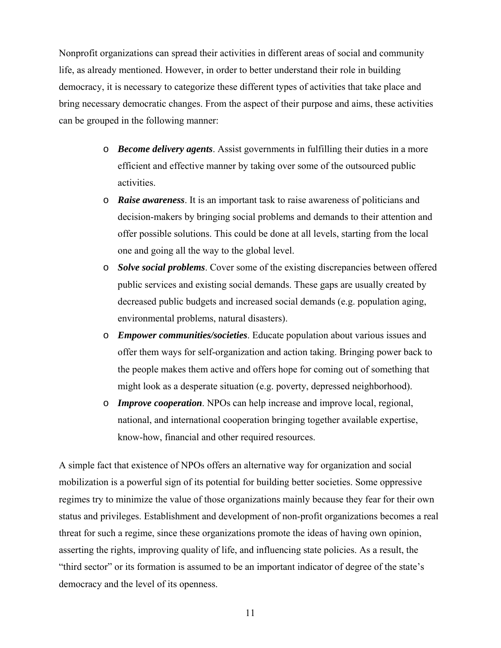Nonprofit organizations can spread their activities in different areas of social and community life, as already mentioned. However, in order to better understand their role in building democracy, it is necessary to categorize these different types of activities that take place and bring necessary democratic changes. From the aspect of their purpose and aims, these activities can be grouped in the following manner:

- o *Become delivery agents*. Assist governments in fulfilling their duties in a more efficient and effective manner by taking over some of the outsourced public activities.
- o *Raise awareness*. It is an important task to raise awareness of politicians and decision-makers by bringing social problems and demands to their attention and offer possible solutions. This could be done at all levels, starting from the local one and going all the way to the global level.
- o *Solve social problems*. Cover some of the existing discrepancies between offered public services and existing social demands. These gaps are usually created by decreased public budgets and increased social demands (e.g. population aging, environmental problems, natural disasters).
- o *Empower communities/societies*. Educate population about various issues and offer them ways for self-organization and action taking. Bringing power back to the people makes them active and offers hope for coming out of something that might look as a desperate situation (e.g. poverty, depressed neighborhood).
- o *Improve cooperation*. NPOs can help increase and improve local, regional, national, and international cooperation bringing together available expertise, know-how, financial and other required resources.

A simple fact that existence of NPOs offers an alternative way for organization and social mobilization is a powerful sign of its potential for building better societies. Some oppressive regimes try to minimize the value of those organizations mainly because they fear for their own status and privileges. Establishment and development of non-profit organizations becomes a real threat for such a regime, since these organizations promote the ideas of having own opinion, asserting the rights, improving quality of life, and influencing state policies. As a result, the "third sector" or its formation is assumed to be an important indicator of degree of the state's democracy and the level of its openness.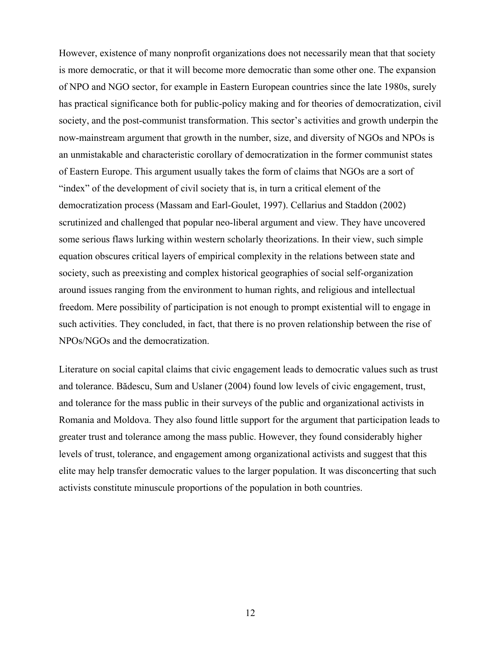However, existence of many nonprofit organizations does not necessarily mean that that society is more democratic, or that it will become more democratic than some other one. The expansion of NPO and NGO sector, for example in Eastern European countries since the late 1980s, surely has practical significance both for public-policy making and for theories of democratization, civil society, and the post-communist transformation. This sector's activities and growth underpin the now-mainstream argument that growth in the number, size, and diversity of NGOs and NPOs is an unmistakable and characteristic corollary of democratization in the former communist states of Eastern Europe. This argument usually takes the form of claims that NGOs are a sort of "index" of the development of civil society that is, in turn a critical element of the democratization process (Massam and Earl-Goulet, 1997). Cellarius and Staddon (2002) scrutinized and challenged that popular neo-liberal argument and view. They have uncovered some serious flaws lurking within western scholarly theorizations. In their view, such simple equation obscures critical layers of empirical complexity in the relations between state and society, such as preexisting and complex historical geographies of social self-organization around issues ranging from the environment to human rights, and religious and intellectual freedom. Mere possibility of participation is not enough to prompt existential will to engage in such activities. They concluded, in fact, that there is no proven relationship between the rise of NPOs/NGOs and the democratization.

Literature on social capital claims that civic engagement leads to democratic values such as trust and tolerance. Bădescu, Sum and Uslaner (2004) found low levels of civic engagement, trust, and tolerance for the mass public in their surveys of the public and organizational activists in Romania and Moldova. They also found little support for the argument that participation leads to greater trust and tolerance among the mass public. However, they found considerably higher levels of trust, tolerance, and engagement among organizational activists and suggest that this elite may help transfer democratic values to the larger population. It was disconcerting that such activists constitute minuscule proportions of the population in both countries.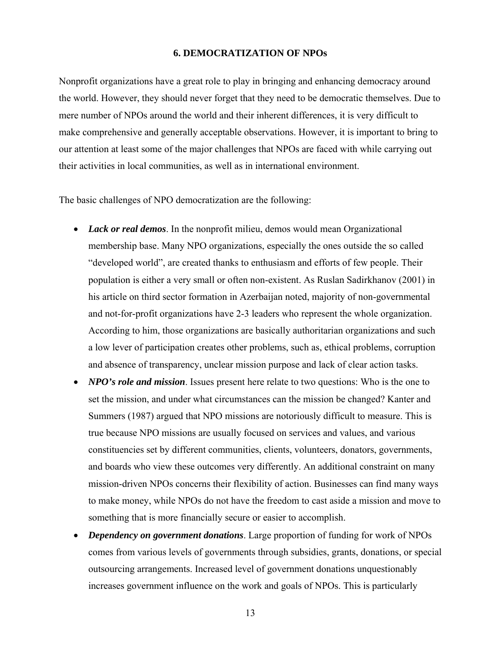#### **6. DEMOCRATIZATION OF NPOs**

Nonprofit organizations have a great role to play in bringing and enhancing democracy around the world. However, they should never forget that they need to be democratic themselves. Due to mere number of NPOs around the world and their inherent differences, it is very difficult to make comprehensive and generally acceptable observations. However, it is important to bring to our attention at least some of the major challenges that NPOs are faced with while carrying out their activities in local communities, as well as in international environment.

The basic challenges of NPO democratization are the following:

- *Lack or real demos*. In the nonprofit milieu, demos would mean Organizational membership base. Many NPO organizations, especially the ones outside the so called "developed world", are created thanks to enthusiasm and efforts of few people. Their population is either a very small or often non-existent. As Ruslan Sadirkhanov (2001) in his article on third sector formation in Azerbaijan noted, majority of non-governmental and not-for-profit organizations have 2-3 leaders who represent the whole organization. According to him, those organizations are basically authoritarian organizations and such a low lever of participation creates other problems, such as, ethical problems, corruption and absence of transparency, unclear mission purpose and lack of clear action tasks.
- *NPO's role and mission*. Issues present here relate to two questions: Who is the one to set the mission, and under what circumstances can the mission be changed? Kanter and Summers (1987) argued that NPO missions are notoriously difficult to measure. This is true because NPO missions are usually focused on services and values, and various constituencies set by different communities, clients, volunteers, donators, governments, and boards who view these outcomes very differently. An additional constraint on many mission-driven NPOs concerns their flexibility of action. Businesses can find many ways to make money, while NPOs do not have the freedom to cast aside a mission and move to something that is more financially secure or easier to accomplish.
- *Dependency on government donations*. Large proportion of funding for work of NPOs comes from various levels of governments through subsidies, grants, donations, or special outsourcing arrangements. Increased level of government donations unquestionably increases government influence on the work and goals of NPOs. This is particularly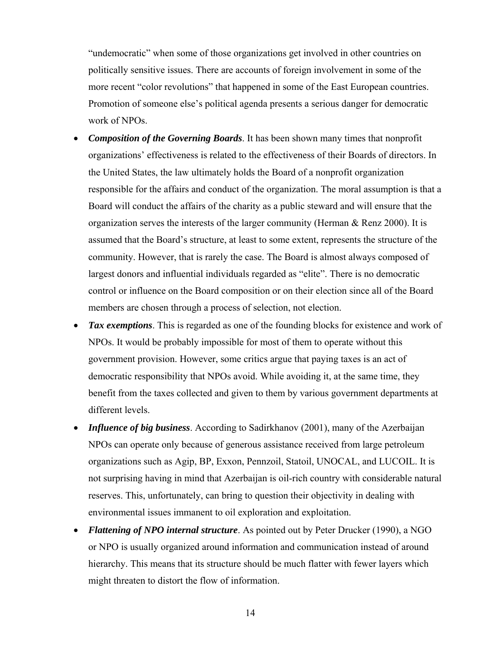"undemocratic" when some of those organizations get involved in other countries on politically sensitive issues. There are accounts of foreign involvement in some of the more recent "color revolutions" that happened in some of the East European countries. Promotion of someone else's political agenda presents a serious danger for democratic work of NPOs.

- *Composition of the Governing Boards*. It has been shown many times that nonprofit organizations' effectiveness is related to the effectiveness of their Boards of directors. In the United States, the law ultimately holds the Board of a nonprofit organization responsible for the affairs and conduct of the organization. The moral assumption is that a Board will conduct the affairs of the charity as a public steward and will ensure that the organization serves the interests of the larger community (Herman  $\&$  Renz 2000). It is assumed that the Board's structure, at least to some extent, represents the structure of the community. However, that is rarely the case. The Board is almost always composed of largest donors and influential individuals regarded as "elite". There is no democratic control or influence on the Board composition or on their election since all of the Board members are chosen through a process of selection, not election.
- *Tax exemptions*. This is regarded as one of the founding blocks for existence and work of NPOs. It would be probably impossible for most of them to operate without this government provision. However, some critics argue that paying taxes is an act of democratic responsibility that NPOs avoid. While avoiding it, at the same time, they benefit from the taxes collected and given to them by various government departments at different levels.
- *Influence of big business*. According to Sadirkhanov (2001), many of the Azerbaijan NPOs can operate only because of generous assistance received from large petroleum organizations such as Agip, BP, Exxon, Pennzoil, Statoil, UNOCAL, and LUCOIL. It is not surprising having in mind that Azerbaijan is oil-rich country with considerable natural reserves. This, unfortunately, can bring to question their objectivity in dealing with environmental issues immanent to oil exploration and exploitation.
- *Flattening of NPO internal structure*. As pointed out by Peter Drucker (1990), a NGO or NPO is usually organized around information and communication instead of around hierarchy. This means that its structure should be much flatter with fewer layers which might threaten to distort the flow of information.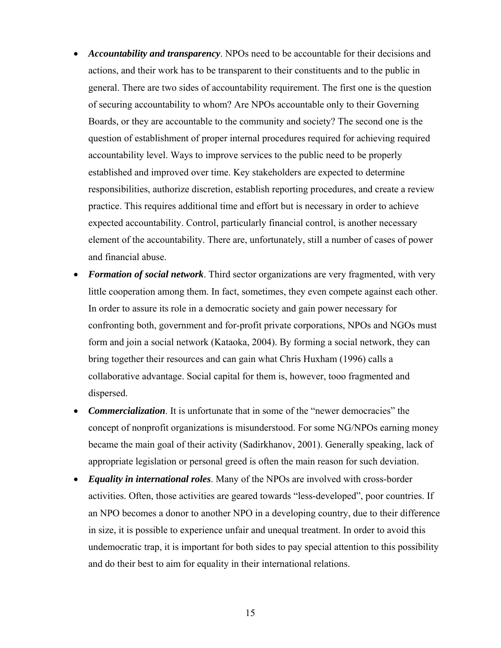- *Accountability and transparency*. NPOs need to be accountable for their decisions and actions, and their work has to be transparent to their constituents and to the public in general. There are two sides of accountability requirement. The first one is the question of securing accountability to whom? Are NPOs accountable only to their Governing Boards, or they are accountable to the community and society? The second one is the question of establishment of proper internal procedures required for achieving required accountability level. Ways to improve services to the public need to be properly established and improved over time. Key stakeholders are expected to determine responsibilities, authorize discretion, establish reporting procedures, and create a review practice. This requires additional time and effort but is necessary in order to achieve expected accountability. Control, particularly financial control, is another necessary element of the accountability. There are, unfortunately, still a number of cases of power and financial abuse.
- *Formation of social network*. Third sector organizations are very fragmented, with very little cooperation among them. In fact, sometimes, they even compete against each other. In order to assure its role in a democratic society and gain power necessary for confronting both, government and for-profit private corporations, NPOs and NGOs must form and join a social network (Kataoka, 2004). By forming a social network, they can bring together their resources and can gain what Chris Huxham (1996) calls a collaborative advantage. Social capital for them is, however, tooo fragmented and dispersed.
- **Commercialization**. It is unfortunate that in some of the "newer democracies" the concept of nonprofit organizations is misunderstood. For some NG/NPOs earning money became the main goal of their activity (Sadirkhanov, 2001). Generally speaking, lack of appropriate legislation or personal greed is often the main reason for such deviation.
- *Equality in international roles*. Many of the NPOs are involved with cross-border activities. Often, those activities are geared towards "less-developed", poor countries. If an NPO becomes a donor to another NPO in a developing country, due to their difference in size, it is possible to experience unfair and unequal treatment. In order to avoid this undemocratic trap, it is important for both sides to pay special attention to this possibility and do their best to aim for equality in their international relations.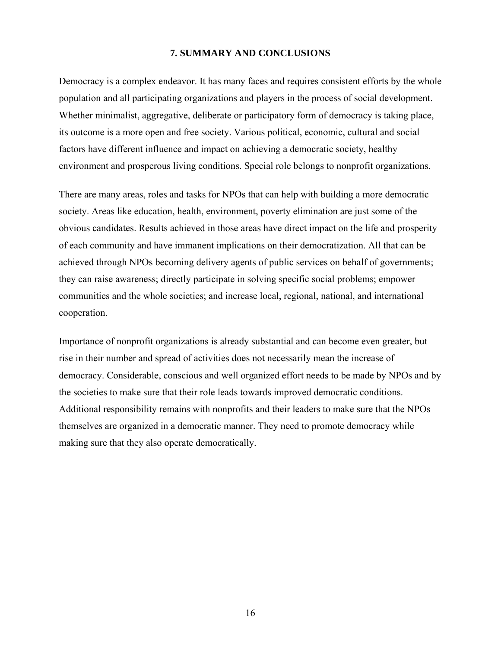#### **7. SUMMARY AND CONCLUSIONS**

Democracy is a complex endeavor. It has many faces and requires consistent efforts by the whole population and all participating organizations and players in the process of social development. Whether minimalist, aggregative, deliberate or participatory form of democracy is taking place, its outcome is a more open and free society. Various political, economic, cultural and social factors have different influence and impact on achieving a democratic society, healthy environment and prosperous living conditions. Special role belongs to nonprofit organizations.

There are many areas, roles and tasks for NPOs that can help with building a more democratic society. Areas like education, health, environment, poverty elimination are just some of the obvious candidates. Results achieved in those areas have direct impact on the life and prosperity of each community and have immanent implications on their democratization. All that can be achieved through NPOs becoming delivery agents of public services on behalf of governments; they can raise awareness; directly participate in solving specific social problems; empower communities and the whole societies; and increase local, regional, national, and international cooperation.

Importance of nonprofit organizations is already substantial and can become even greater, but rise in their number and spread of activities does not necessarily mean the increase of democracy. Considerable, conscious and well organized effort needs to be made by NPOs and by the societies to make sure that their role leads towards improved democratic conditions. Additional responsibility remains with nonprofits and their leaders to make sure that the NPOs themselves are organized in a democratic manner. They need to promote democracy while making sure that they also operate democratically.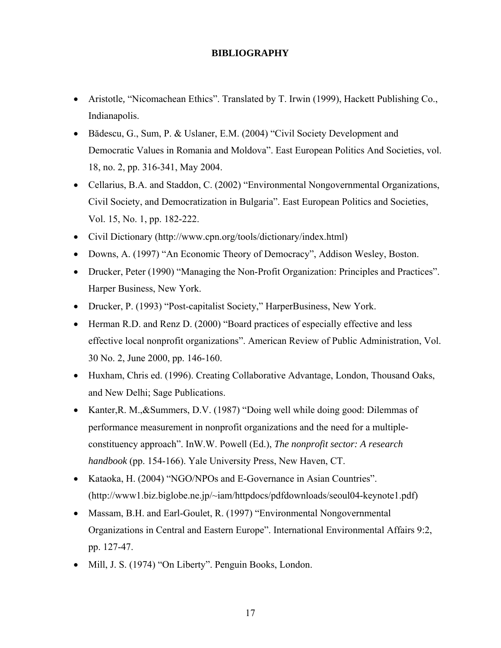### **BIBLIOGRAPHY**

- Aristotle, "Nicomachean Ethics". Translated by T. Irwin (1999), Hackett Publishing Co., Indianapolis.
- Bădescu, G., Sum, P. & Uslaner, E.M. (2004) "Civil Society Development and Democratic Values in Romania and Moldova". East European Politics And Societies, vol. 18, no. 2, pp. 316-341, May 2004.
- Cellarius, B.A. and Staddon, C. (2002) "Environmental Nongovernmental Organizations, Civil Society, and Democratization in Bulgaria". East European Politics and Societies, Vol. 15, No. 1, pp. 182-222.
- Civil Dictionary (http://www.cpn.org/tools/dictionary/index.html)
- Downs, A. (1997) "An Economic Theory of Democracy", Addison Wesley, Boston.
- Drucker, Peter (1990) "Managing the Non-Profit Organization: Principles and Practices". Harper Business, New York.
- Drucker, P. (1993) "Post-capitalist Society," HarperBusiness, New York.
- Herman R.D. and Renz D. (2000) "Board practices of especially effective and less effective local nonprofit organizations". American Review of Public Administration, Vol. 30 No. 2, June 2000, pp. 146-160.
- Huxham, Chris ed. (1996). Creating Collaborative Advantage, London, Thousand Oaks, and New Delhi; Sage Publications.
- Kanter, R. M., & Summers, D.V. (1987) "Doing well while doing good: Dilemmas of performance measurement in nonprofit organizations and the need for a multipleconstituency approach". InW.W. Powell (Ed.), *The nonprofit sector: A research handbook* (pp. 154-166). Yale University Press, New Haven, CT.
- Kataoka, H. (2004) "NGO/NPOs and E-Governance in Asian Countries". (http://www1.biz.biglobe.ne.jp/~iam/httpdocs/pdfdownloads/seoul04-keynote1.pdf)
- Massam, B.H. and Earl-Goulet, R. (1997) "Environmental Nongovernmental Organizations in Central and Eastern Europe". International Environmental Affairs 9:2, pp. 127-47.
- Mill, J. S. (1974) "On Liberty". Penguin Books, London.